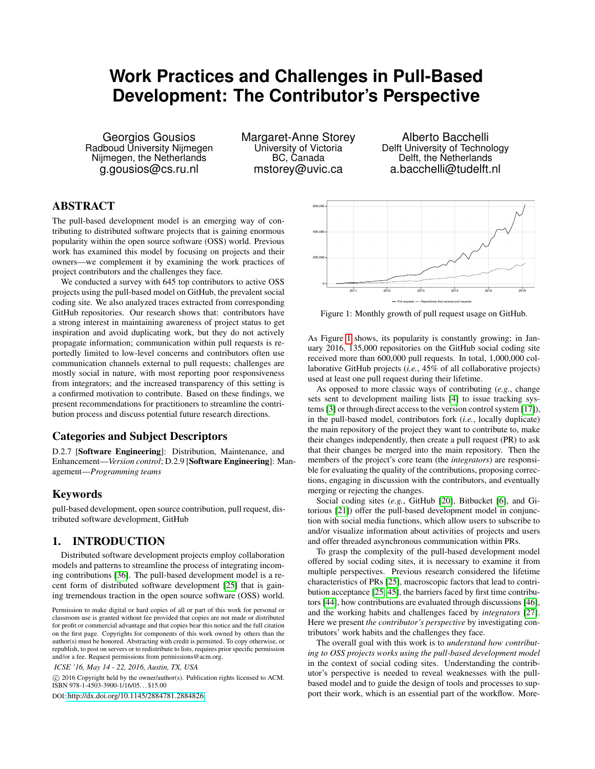# **Work Practices and Challenges in Pull-Based Development: The Contributor's Perspective**

Georgios Gousios Radboud University Nijmegen Nijmegen, the Netherlands g.gousios@cs.ru.nl

Margaret-Anne Storey University of Victoria BC, Canada mstorey@uvic.ca

Alberto Bacchelli Delft University of Technology Delft, the Netherlands a.bacchelli@tudelft.nl

# ABSTRACT

The pull-based development model is an emerging way of contributing to distributed software projects that is gaining enormous popularity within the open source software (OSS) world. Previous work has examined this model by focusing on projects and their owners—we complement it by examining the work practices of project contributors and the challenges they face.

We conducted a survey with 645 top contributors to active OSS projects using the pull-based model on GitHub, the prevalent social coding site. We also analyzed traces extracted from corresponding GitHub repositories. Our research shows that: contributors have a strong interest in maintaining awareness of project status to get inspiration and avoid duplicating work, but they do not actively propagate information; communication within pull requests is reportedly limited to low-level concerns and contributors often use communication channels external to pull requests; challenges are mostly social in nature, with most reporting poor responsiveness from integrators; and the increased transparency of this setting is a confirmed motivation to contribute. Based on these findings, we present recommendations for practitioners to streamline the contribution process and discuss potential future research directions.

# Categories and Subject Descriptors

D.2.7 [Software Engineering]: Distribution, Maintenance, and Enhancement—*Version control*; D.2.9 [Software Engineering]: Management—*Programming teams*

# Keywords

pull-based development, open source contribution, pull request, distributed software development, GitHub

### 1. INTRODUCTION

Distributed software development projects employ collaboration models and patterns to streamline the process of integrating incoming contributions [\[36\]](#page-11-0). The pull-based development model is a recent form of distributed software development [\[25\]](#page-10-0) that is gaining tremendous traction in the open source software (OSS) world.

 c 2016 Copyright held by the owner/author(s). Publication rights licensed to ACM. ISBN 978-1-4503-3900-1/16/05. . . \$15.00

DOI: <http://dx.doi.org/10.1145/2884781.2884826>

<span id="page-0-0"></span>

Figure 1: Monthly growth of pull request usage on GitHub.

As Figure [1](#page-0-0) shows, its popularity is constantly growing; in January 2016, 135,000 repositories on the GitHub social coding site received more than 600,000 pull requests. In total, 1,000,000 collaborative GitHub projects (*i.e.*, 45% of all collaborative projects) used at least one pull request during their lifetime.

As opposed to more classic ways of contributing (*e.g.*, change sets sent to development mailing lists [\[4\]](#page-10-1) to issue tracking systems [\[3\]](#page-10-2) or through direct access to the version control system [\[17\]](#page-10-3)), in the pull-based model, contributors fork (*i.e.*, locally duplicate) the main repository of the project they want to contribute to, make their changes independently, then create a pull request (PR) to ask that their changes be merged into the main repository. Then the members of the project's core team (the *integrators*) are responsible for evaluating the quality of the contributions, proposing corrections, engaging in discussion with the contributors, and eventually merging or rejecting the changes.

Social coding sites (*e.g.*, GitHub [\[20\]](#page-10-4), Bitbucket [\[6\]](#page-10-5), and Gitorious [\[21\]](#page-10-6)) offer the pull-based development model in conjunction with social media functions, which allow users to subscribe to and/or visualize information about activities of projects and users and offer threaded asynchronous communication within PRs.

To grasp the complexity of the pull-based development model offered by social coding sites, it is necessary to examine it from multiple perspectives. Previous research considered the lifetime characteristics of PRs [\[25\]](#page-10-0), macroscopic factors that lead to contribution acceptance [\[25,](#page-10-0) [45\]](#page-11-1), the barriers faced by first time contributors [\[44\]](#page-11-2), how contributions are evaluated through discussions [\[46\]](#page-11-3), and the working habits and challenges faced by *integrators* [\[27\]](#page-10-7). Here we present *the contributor's perspective* by investigating contributors' work habits and the challenges they face.

The overall goal with this work is to *understand how contributing to OSS projects works using the pull-based development model* in the context of social coding sites. Understanding the contributor's perspective is needed to reveal weaknesses with the pullbased model and to guide the design of tools and processes to support their work, which is an essential part of the workflow. More-

Permission to make digital or hard copies of all or part of this work for personal or classroom use is granted without fee provided that copies are not made or distributed for profit or commercial advantage and that copies bear this notice and the full citation on the first page. Copyrights for components of this work owned by others than the author(s) must be honored. Abstracting with credit is permitted. To copy otherwise, or republish, to post on servers or to redistribute to lists, requires prior specific permission and/or a fee. Request permissions from permissions@acm.org.

*ICSE '16, May 14 - 22, 2016, Austin, TX, USA*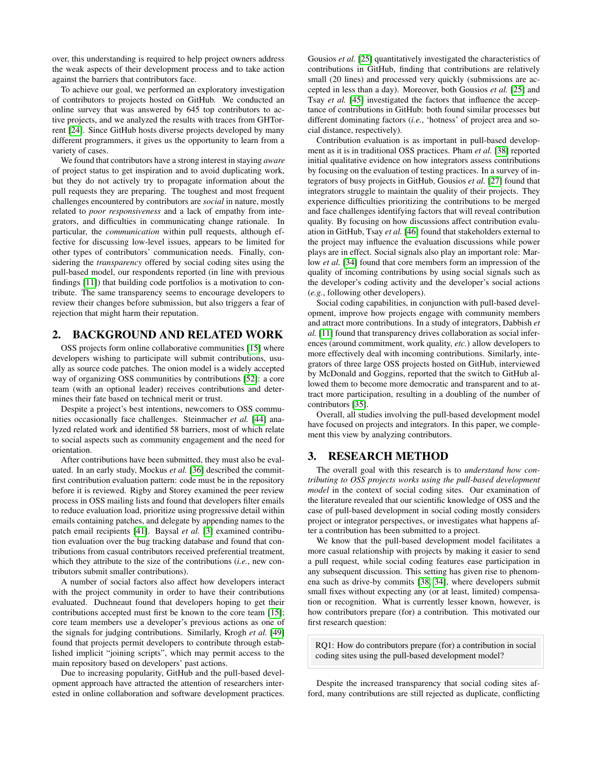over, this understanding is required to help project owners address the weak aspects of their development process and to take action against the barriers that contributors face.

To achieve our goal, we performed an exploratory investigation of contributors to projects hosted on GitHub. We conducted an online survey that was answered by 645 top contributors to active projects, and we analyzed the results with traces from GHTorrent [\[24\]](#page-10-8). Since GitHub hosts diverse projects developed by many different programmers, it gives us the opportunity to learn from a variety of cases.

We found that contributors have a strong interest in staying *aware* of project status to get inspiration and to avoid duplicating work, but they do not actively try to propagate information about the pull requests they are preparing. The toughest and most frequent challenges encountered by contributors are *social* in nature, mostly related to *poor responsiveness* and a lack of empathy from integrators, and difficulties in communicating change rationale. In particular, the *communication* within pull requests, although effective for discussing low-level issues, appears to be limited for other types of contributors' communication needs. Finally, considering the *transparency* offered by social coding sites using the pull-based model, our respondents reported (in line with previous findings [\[11\]](#page-10-9)) that building code portfolios is a motivation to contribute. The same transparency seems to encourage developers to review their changes before submission, but also triggers a fear of rejection that might harm their reputation.

### 2. BACKGROUND AND RELATED WORK

OSS projects form online collaborative communities [\[15\]](#page-10-10) where developers wishing to participate will submit contributions, usually as source code patches. The onion model is a widely accepted way of organizing OSS communities by contributions [\[52\]](#page-11-4): a core team (with an optional leader) receives contributions and determines their fate based on technical merit or trust.

Despite a project's best intentions, newcomers to OSS communities occasionally face challenges. Steinmacher *et al.* [\[44\]](#page-11-2) analyzed related work and identified 58 barriers, most of which relate to social aspects such as community engagement and the need for orientation.

After contributions have been submitted, they must also be evaluated. In an early study, Mockus *et al.* [\[36\]](#page-11-0) described the commitfirst contribution evaluation pattern: code must be in the repository before it is reviewed. Rigby and Storey examined the peer review process in OSS mailing lists and found that developers filter emails to reduce evaluation load, prioritize using progressive detail within emails containing patches, and delegate by appending names to the patch email recipients [\[41\]](#page-11-5). Baysal *et al.* [\[3\]](#page-10-2) examined contribution evaluation over the bug tracking database and found that contributions from casual contributors received preferential treatment, which they attribute to the size of the contributions (*i.e.*, new contributors submit smaller contributions).

A number of social factors also affect how developers interact with the project community in order to have their contributions evaluated. Duchneaut found that developers hoping to get their contributions accepted must first be known to the core team [\[15\]](#page-10-10); core team members use a developer's previous actions as one of the signals for judging contributions. Similarly, Krogh *et al.* [\[49\]](#page-11-6) found that projects permit developers to contribute through established implicit "joining scripts", which may permit access to the main repository based on developers' past actions.

Due to increasing popularity, GitHub and the pull-based development approach have attracted the attention of researchers interested in online collaboration and software development practices. Gousios *et al.* [\[25\]](#page-10-0) quantitatively investigated the characteristics of contributions in GitHub, finding that contributions are relatively small (20 lines) and processed very quickly (submissions are accepted in less than a day). Moreover, both Gousios *et al.* [\[25\]](#page-10-0) and Tsay *et al.* [\[45\]](#page-11-1) investigated the factors that influence the acceptance of contributions in GitHub: both found similar processes but different dominating factors (*i.e.*, 'hotness' of project area and social distance, respectively).

Contribution evaluation is as important in pull-based development as it is in traditional OSS practices. Pham *et al.* [\[38\]](#page-11-7) reported initial qualitative evidence on how integrators assess contributions by focusing on the evaluation of testing practices. In a survey of integrators of busy projects in GitHub, Gousios *et al.* [\[27\]](#page-10-7) found that integrators struggle to maintain the quality of their projects. They experience difficulties prioritizing the contributions to be merged and face challenges identifying factors that will reveal contribution quality. By focusing on how discussions affect contribution evaluation in GitHub, Tsay *et al.* [\[46\]](#page-11-3) found that stakeholders external to the project may influence the evaluation discussions while power plays are in effect. Social signals also play an important role: Marlow *et al.* [\[34\]](#page-10-11) found that core members form an impression of the quality of incoming contributions by using social signals such as the developer's coding activity and the developer's social actions (*e.g.*, following other developers).

Social coding capabilities, in conjunction with pull-based development, improve how projects engage with community members and attract more contributions. In a study of integrators, Dabbish *et al.* [\[11\]](#page-10-9) found that transparency drives collaboration as social inferences (around commitment, work quality, *etc.*) allow developers to more effectively deal with incoming contributions. Similarly, integrators of three large OSS projects hosted on GitHub, interviewed by McDonald and Goggins, reported that the switch to GitHub allowed them to become more democratic and transparent and to attract more participation, resulting in a doubling of the number of contributors [\[35\]](#page-10-12).

Overall, all studies involving the pull-based development model have focused on projects and integrators. In this paper, we complement this view by analyzing contributors.

### 3. RESEARCH METHOD

The overall goal with this research is to *understand how contributing to OSS projects works using the pull-based development model* in the context of social coding sites. Our examination of the literature revealed that our scientific knowledge of OSS and the case of pull-based development in social coding mostly considers project or integrator perspectives, or investigates what happens after a contribution has been submitted to a project.

We know that the pull-based development model facilitates a more casual relationship with projects by making it easier to send a pull request, while social coding features ease participation in any subsequent discussion. This setting has given rise to phenomena such as drive-by commits [\[38,](#page-11-7) [34\]](#page-10-11), where developers submit small fixes without expecting any (or at least, limited) compensation or recognition. What is currently lesser known, however, is how contributors prepare (for) a contribution. This motivated our first research question:

RQ1: How do contributors prepare (for) a contribution in social coding sites using the pull-based development model?

Despite the increased transparency that social coding sites afford, many contributions are still rejected as duplicate, conflicting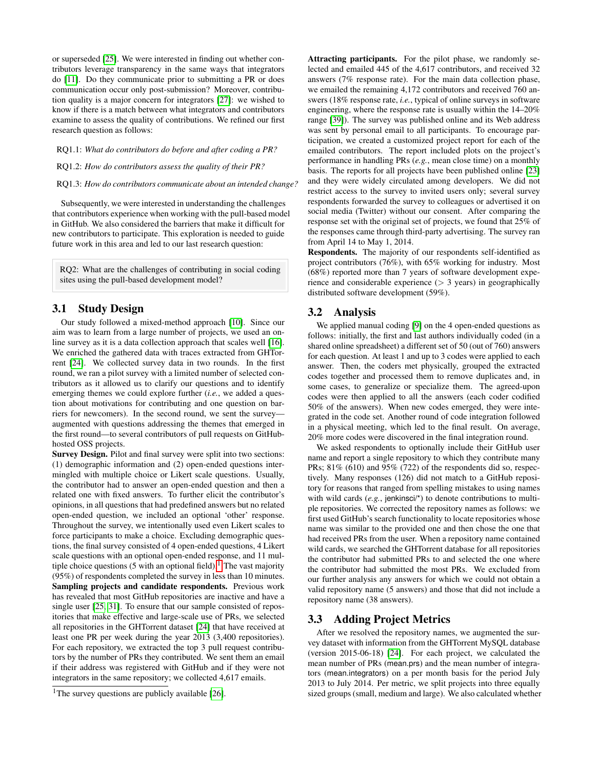or superseded [\[25\]](#page-10-0). We were interested in finding out whether contributors leverage transparency in the same ways that integrators do [\[11\]](#page-10-9). Do they communicate prior to submitting a PR or does communication occur only post-submission? Moreover, contribution quality is a major concern for integrators [\[27\]](#page-10-7): we wished to know if there is a match between what integrators and contributors examine to assess the quality of contributions. We refined our first research question as follows:

#### RQ1.1: *What do contributors do before and after coding a PR?*

RQ1.2: *How do contributors assess the quality of their PR?*

#### RQ1.3: *How do contributors communicate about an intended change?*

Subsequently, we were interested in understanding the challenges that contributors experience when working with the pull-based model in GitHub. We also considered the barriers that make it difficult for new contributors to participate. This exploration is needed to guide future work in this area and led to our last research question:

RQ2: What are the challenges of contributing in social coding sites using the pull-based development model?

### 3.1 Study Design

Our study followed a mixed-method approach [\[10\]](#page-10-13). Since our aim was to learn from a large number of projects, we used an online survey as it is a data collection approach that scales well [\[16\]](#page-10-14). We enriched the gathered data with traces extracted from GHTorrent [\[24\]](#page-10-8). We collected survey data in two rounds. In the first round, we ran a pilot survey with a limited number of selected contributors as it allowed us to clarify our questions and to identify emerging themes we could explore further (*i.e.*, we added a question about motivations for contributing and one question on barriers for newcomers). In the second round, we sent the survey augmented with questions addressing the themes that emerged in the first round—to several contributors of pull requests on GitHubhosted OSS projects.

Survey Design. Pilot and final survey were split into two sections: (1) demographic information and (2) open-ended questions intermingled with multiple choice or Likert scale questions. Usually, the contributor had to answer an open-ended question and then a related one with fixed answers. To further elicit the contributor's opinions, in all questions that had predefined answers but no related open-ended question, we included an optional 'other' response. Throughout the survey, we intentionally used even Likert scales to force participants to make a choice. Excluding demographic questions, the final survey consisted of 4 open-ended questions, 4 Likert scale questions with an optional open-ended response, and 11 mul-tiple choice questions (5 with an optional field).<sup>[1](#page-2-0)</sup> The vast majority (95%) of respondents completed the survey in less than 10 minutes. Sampling projects and candidate respondents. Previous work has revealed that most GitHub repositories are inactive and have a single user [\[25,](#page-10-0) [31\]](#page-10-15). To ensure that our sample consisted of repositories that make effective and large-scale use of PRs, we selected all repositories in the GHTorrent dataset [\[24\]](#page-10-8) that have received at least one PR per week during the year 2013 (3,400 repositories). For each repository, we extracted the top 3 pull request contributors by the number of PRs they contributed. We sent them an email if their address was registered with GitHub and if they were not integrators in the same repository; we collected 4,617 emails.

Attracting participants. For the pilot phase, we randomly selected and emailed 445 of the 4,617 contributors, and received 32 answers (7% response rate). For the main data collection phase, we emailed the remaining 4,172 contributors and received 760 answers (18% response rate, *i.e.*, typical of online surveys in software engineering, where the response rate is usually within the 14–20% range [\[39\]](#page-11-8)). The survey was published online and its Web address was sent by personal email to all participants. To encourage participation, we created a customized project report for each of the emailed contributors. The report included plots on the project's performance in handling PRs (*e.g.*, mean close time) on a monthly basis. The reports for all projects have been published online [\[23\]](#page-10-17) and they were widely circulated among developers. We did not restrict access to the survey to invited users only; several survey respondents forwarded the survey to colleagues or advertised it on social media (Twitter) without our consent. After comparing the response set with the original set of projects, we found that 25% of the responses came through third-party advertising. The survey ran from April 14 to May 1, 2014.

Respondents. The majority of our respondents self-identified as project contributors (76%), with 65% working for industry. Most (68%) reported more than 7 years of software development experience and considerable experience  $(> 3 \text{ years})$  in geographically distributed software development (59%).

#### 3.2 Analysis

We applied manual coding [\[9\]](#page-10-18) on the 4 open-ended questions as follows: initially, the first and last authors individually coded (in a shared online spreadsheet) a different set of 50 (out of 760) answers for each question. At least 1 and up to 3 codes were applied to each answer. Then, the coders met physically, grouped the extracted codes together and processed them to remove duplicates and, in some cases, to generalize or specialize them. The agreed-upon codes were then applied to all the answers (each coder codified 50% of the answers). When new codes emerged, they were integrated in the code set. Another round of code integration followed in a physical meeting, which led to the final result. On average, 20% more codes were discovered in the final integration round.

We asked respondents to optionally include their GitHub user name and report a single repository to which they contribute many PRs; 81% (610) and 95% (722) of the respondents did so, respectively. Many responses (126) did not match to a GitHub repository for reasons that ranged from spelling mistakes to using names with wild cards (e.g., jenkinsci/\*) to denote contributions to multiple repositories. We corrected the repository names as follows: we first used GitHub's search functionality to locate repositories whose name was similar to the provided one and then chose the one that had received PRs from the user. When a repository name contained wild cards, we searched the GHTorrent database for all repositories the contributor had submitted PRs to and selected the one where the contributor had submitted the most PRs. We excluded from our further analysis any answers for which we could not obtain a valid repository name (5 answers) and those that did not include a repository name (38 answers).

### <span id="page-2-1"></span>3.3 Adding Project Metrics

After we resolved the repository names, we augmented the survey dataset with information from the GHTorrent MySQL database (version 2015-06-18) [\[24\]](#page-10-8). For each project, we calculated the mean number of PRs (mean.prs) and the mean number of integrators (mean.integrators) on a per month basis for the period July 2013 to July 2014. Per metric, we split projects into three equally sized groups (small, medium and large). We also calculated whether

<span id="page-2-0"></span><sup>&</sup>lt;sup>1</sup>The survey questions are publicly available [\[26\]](#page-10-16).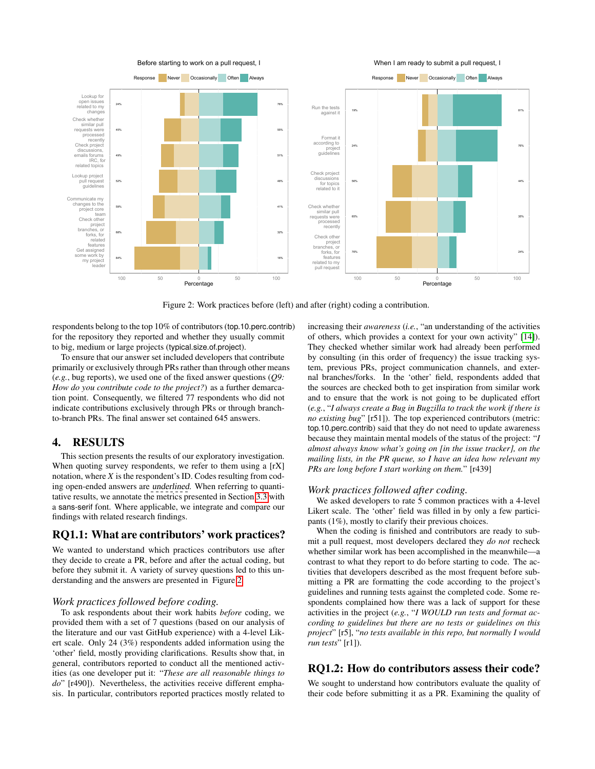<span id="page-3-0"></span>

Figure 2: Work practices before (left) and after (right) coding a contribution.

respondents belong to the top 10% of contributors (top.10.perc.contrib) for the repository they reported and whether they usually commit to big, medium or large projects (typical.size.of.project).

To ensure that our answer set included developers that contribute primarily or exclusively through PRs rather than through other means (*e.g.*, bug reports), we used one of the fixed answer questions (*Q9: How do you contribute code to the project?*) as a further demarcation point. Consequently, we filtered 77 respondents who did not indicate contributions exclusively through PRs or through branchto-branch PRs. The final answer set contained 645 answers.

### 4. RESULTS

This section presents the results of our exploratory investigation. When quoting survey respondents, we refer to them using a [rX] notation, where *X* is the respondent's ID. Codes resulting from coding open-ended answers are underlined. When referring to quantitative results, we annotate the metrics presented in Section [3.3](#page-2-1) with a sans-serif font. Where applicable, we integrate and compare our findings with related research findings.

## RQ1.1: What are contributors' work practices?

We wanted to understand which practices contributors use after they decide to create a PR, before and after the actual coding, but before they submit it. A variety of survey questions led to this understanding and the answers are presented in Figure [2.](#page-3-0)

#### *Work practices followed before coding.*

To ask respondents about their work habits *before* coding, we provided them with a set of 7 questions (based on our analysis of the literature and our vast GitHub experience) with a 4-level Likert scale. Only 24 (3%) respondents added information using the 'other' field, mostly providing clarifications. Results show that, in general, contributors reported to conduct all the mentioned activities (as one developer put it: "*These are all reasonable things to do*" [r490]). Nevertheless, the activities receive different emphasis. In particular, contributors reported practices mostly related to increasing their *awareness* (*i.e.*, "an understanding of the activities of others, which provides a context for your own activity" [\[14\]](#page-10-19)). They checked whether similar work had already been performed by consulting (in this order of frequency) the issue tracking system, previous PRs, project communication channels, and external branches/forks. In the 'other' field, respondents added that the sources are checked both to get inspiration from similar work and to ensure that the work is not going to be duplicated effort (*e.g.*, "*I always create a Bug in Bugzilla to track the work if there is no existing bug*" [r51]). The top experienced contributors (metric: top.10.perc.contrib) said that they do not need to update awareness because they maintain mental models of the status of the project: "*I almost always know what's going on [in the issue tracker], on the mailing lists, in the PR queue, so I have an idea how relevant my PRs are long before I start working on them.*" [r439]

#### *Work practices followed after coding.*

We asked developers to rate 5 common practices with a 4-level Likert scale. The 'other' field was filled in by only a few participants (1%), mostly to clarify their previous choices.

When the coding is finished and contributors are ready to submit a pull request, most developers declared they *do not* recheck whether similar work has been accomplished in the meanwhile—a contrast to what they report to do before starting to code. The activities that developers described as the most frequent before submitting a PR are formatting the code according to the project's guidelines and running tests against the completed code. Some respondents complained how there was a lack of support for these activities in the project (*e.g.*, "*I WOULD run tests and format according to guidelines but there are no tests or guidelines on this project*" [r5], "*no tests available in this repo, but normally I would run tests*" [r1]).

### RQ1.2: How do contributors assess their code?

We sought to understand how contributors evaluate the quality of their code before submitting it as a PR. Examining the quality of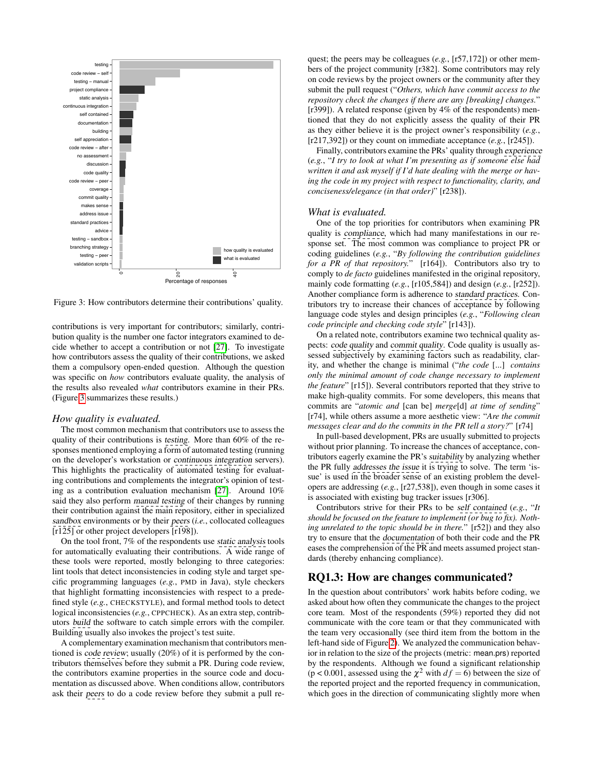<span id="page-4-0"></span>

Figure 3: How contributors determine their contributions' quality.

contributions is very important for contributors; similarly, contribution quality is the number one factor integrators examined to decide whether to accept a contribution or not [\[27\]](#page-10-7). To investigate how contributors assess the quality of their contributions, we asked them a compulsory open-ended question. Although the question was specific on *how* contributors evaluate quality, the analysis of the results also revealed *what* contributors examine in their PRs. (Figure [3](#page-4-0) summarizes these results.)

#### *How quality is evaluated.*

The most common mechanism that contributors use to assess the quality of their contributions is testing. More than 60% of the responses mentioned employing a form of automated testing (running on the developer's workstation or continuous integration servers). This highlights the practicality of automated testing for evaluating contributions and complements the integrator's opinion of testing as a contribution evaluation mechanism [\[27\]](#page-10-7). Around 10% said they also perform manual testing of their changes by running their contribution against the main repository, either in specialized sandbox environments or by their peers (*i.e.*, collocated colleagues [r125] or other project developers [r198]).

On the tool front, 7% of the respondents use static analysis tools for automatically evaluating their contributions. A wide range of these tools were reported, mostly belonging to three categories: lint tools that detect inconsistencies in coding style and target specific programming languages (*e.g.*, PMD in Java), style checkers that highlight formatting inconsistencies with respect to a predefined style (*e.g.*, CHECKSTYLE), and formal method tools to detect logical inconsistencies (*e.g.*, CPPCHECK). As an extra step, contributors build the software to catch simple errors with the compiler. Building usually also invokes the project's test suite.

A complementary examination mechanism that contributors mentioned is code review; usually (20%) of it is performed by the contributors themselves before they submit a PR. During code review, the contributors examine properties in the source code and documentation as discussed above. When conditions allow, contributors ask their peers to do a code review before they submit a pull request; the peers may be colleagues (*e.g.*, [r57,172]) or other members of the project community [r382]. Some contributors may rely on code reviews by the project owners or the community after they submit the pull request ("*Others, which have commit access to the repository check the changes if there are any [breaking] changes.*" [r399]). A related response (given by 4% of the respondents) mentioned that they do not explicitly assess the quality of their PR as they either believe it is the project owner's responsibility (*e.g.*, [r217,392]) or they count on immediate acceptance (*e.g.*, [r245]).

Finally, contributors examine the PRs' quality through experience (*e.g.*, "*I try to look at what I'm presenting as if someone else had written it and ask myself if I'd hate dealing with the merge or having the code in my project with respect to functionality, clarity, and conciseness/elegance (in that order)*" [r238]).

#### *What is evaluated.*

One of the top priorities for contributors when examining PR quality is compliance, which had many manifestations in our response set. The most common was compliance to project PR or coding guidelines (*e.g.*, "*By following the contribution guidelines for a PR of that repository.*" [r164]). Contributors also try to comply to *de facto* guidelines manifested in the original repository, mainly code formatting (*e.g.*, [r105,584]) and design (*e.g.*, [r252]). Another compliance form is adherence to standard practices. Contributors try to increase their chances of acceptance by following language code styles and design principles (*e.g.*, "*Following clean code principle and checking code style*" [r143]).

On a related note, contributors examine two technical quality aspects: code quality and commit quality. Code quality is usually assessed subjectively by examining factors such as readability, clarity, and whether the change is minimal ("*the code* [...] *contains only the minimal amount of code change necessary to implement the feature*" [r15]). Several contributors reported that they strive to make high-quality commits. For some developers, this means that commits are "*atomic and* [can be] *merge*[d] *at time of sending*" [r74], while others assume a more aesthetic view: "*Are the commit messages clear and do the commits in the PR tell a story?*" [r74]

In pull-based development, PRs are usually submitted to projects without prior planning. To increase the chances of acceptance, contributors eagerly examine the PR's suitability by analyzing whether the PR fully addresses the issue it is trying to solve. The term 'issue' is used in the broader sense of an existing problem the developers are addressing (*e.g.*, [r27,538]), even though in some cases it is associated with existing bug tracker issues [r306].

Contributors strive for their PRs to be self contained (*e.g.*, "*It should be focused on the feature to implement (or bug to fix). Nothing unrelated to the topic should be in there.*" [r52]) and they also try to ensure that the documentation of both their code and the PR eases the comprehension of the PR and meets assumed project standards (thereby enhancing compliance).

### RQ1.3: How are changes communicated?

In the question about contributors' work habits before coding, we asked about how often they communicate the changes to the project core team. Most of the respondents (59%) reported they did not communicate with the core team or that they communicated with the team very occasionally (see third item from the bottom in the left-hand side of Figure [2\)](#page-3-0). We analyzed the communication behavior in relation to the size of the projects (metric: mean.prs) reported by the respondents. Although we found a significant relationship (p < 0.001, assessed using the  $\chi^2$  with  $df = 6$ ) between the size of the reported project and the reported frequency in communication, which goes in the direction of communicating slightly more when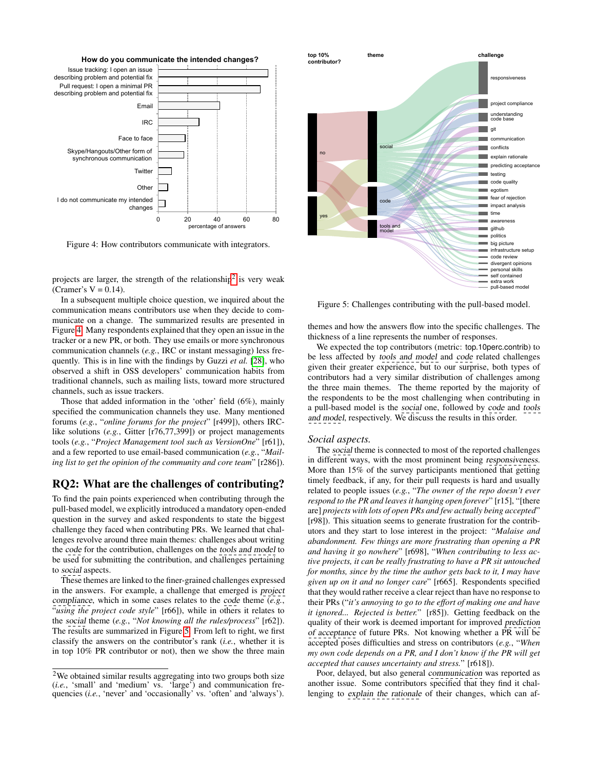<span id="page-5-1"></span>

Figure 4: How contributors communicate with integrators.

projects are larger, the strength of the relationship<sup>[2](#page-5-0)</sup> is very weak (Cramer's  $V = 0.14$ ).

In a subsequent multiple choice question, we inquired about the communication means contributors use when they decide to communicate on a change. The summarized results are presented in Figure [4.](#page-5-1) Many respondents explained that they open an issue in the tracker or a new PR, or both. They use emails or more synchronous communication channels (*e.g.*, IRC or instant messaging) less frequently. This is in line with the findings by Guzzi *et al.* [\[28\]](#page-10-20), who observed a shift in OSS developers' communication habits from traditional channels, such as mailing lists, toward more structured channels, such as issue trackers.

Those that added information in the 'other' field (6%), mainly specified the communication channels they use. Many mentioned forums (*e.g.*, "*online forums for the project*" [r499]), others IRClike solutions (*e.g.*, Gitter [r76,77,399]) or project managements tools (*e.g.*, "*Project Management tool such as VersionOne*" [r61]), and a few reported to use email-based communication (*e.g.*, "*Mailing list to get the opinion of the community and core team*" [r286]).

### RQ2: What are the challenges of contributing?

To find the pain points experienced when contributing through the pull-based model, we explicitly introduced a mandatory open-ended question in the survey and asked respondents to state the biggest challenge they faced when contributing PRs. We learned that challenges revolve around three main themes: challenges about writing the code for the contribution, challenges on the tools and model to be used for submitting the contribution, and challenges pertaining to social aspects.

These themes are linked to the finer-grained challenges expressed in the answers. For example, a challenge that emerged is project compliance, which in some cases relates to the code theme (*e.g.*, "*using the project code style*" [r66]), while in others it relates to the social theme (*e.g.*, "*Not knowing all the rules/process*" [r62]). The results are summarized in Figure [5.](#page-5-2) From left to right, we first classify the answers on the contributor's rank (*i.e.*, whether it is in top 10% PR contributor or not), then we show the three main

<span id="page-5-2"></span>

Figure 5: Challenges contributing with the pull-based model.

themes and how the answers flow into the specific challenges. The thickness of a line represents the number of responses.

We expected the top contributors (metric: top.10perc.contrib) to be less affected by tools and model and code related challenges given their greater experience, but to our surprise, both types of contributors had a very similar distribution of challenges among the three main themes. The theme reported by the majority of the respondents to be the most challenging when contributing in a pull-based model is the social one, followed by code and tools and model, respectively. We discuss the results in this order.

#### *Social aspects.*

The social theme is connected to most of the reported challenges in different ways, with the most prominent being responsiveness. More than 15% of the survey participants mentioned that getting timely feedback, if any, for their pull requests is hard and usually related to people issues (*e.g.*, "*The owner of the repo doesn't ever respond to the PR and leaves it hanging open forever*" [r15], "[there are] *projects with lots of open PRs and few actually being accepted*" [r98]). This situation seems to generate frustration for the contributors and they start to lose interest in the project: "*Malaise and abandonment. Few things are more frustrating than opening a PR and having it go nowhere*" [r698], "*When contributing to less active projects, it can be really frustrating to have a PR sit untouched for months, since by the time the author gets back to it, I may have given up on it and no longer care*" [r665]. Respondents specified that they would rather receive a clear reject than have no response to their PRs ("*it's annoying to go to the effort of making one and have it ignored... Rejected is better.*" [r85]). Getting feedback on the quality of their work is deemed important for improved prediction of acceptance of future PRs. Not knowing whether a PR will be accepted poses difficulties and stress on contributors (*e.g.*, "*When my own code depends on a PR, and I don't know if the PR will get accepted that causes uncertainty and stress.*" [r618]).

Poor, delayed, but also general communication was reported as another issue. Some contributors specified that they find it challenging to explain the rationale of their changes, which can af-

<span id="page-5-0"></span> $2$ We obtained similar results aggregating into two groups both size (*i.e.*, 'small' and 'medium' vs. 'large') and communication frequencies (*i.e.*, 'never' and 'occasionally' vs. 'often' and 'always').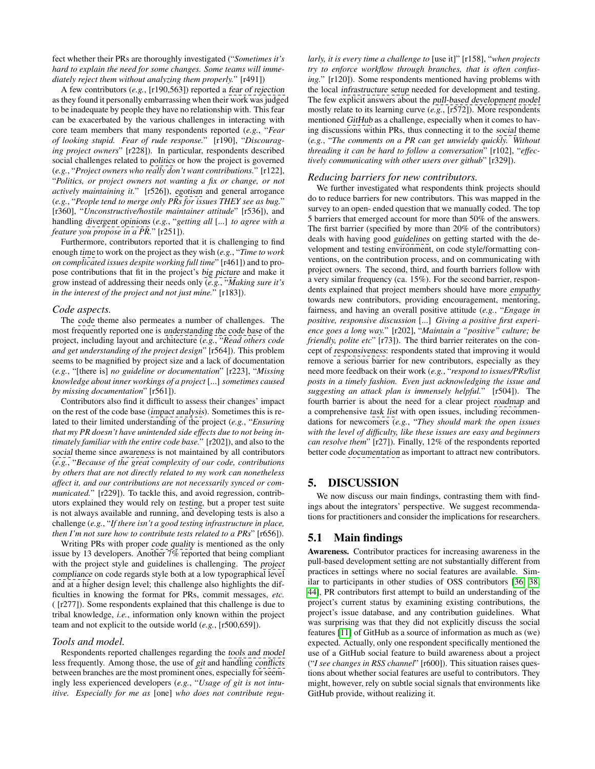fect whether their PRs are thoroughly investigated ("*Sometimes it's hard to explain the need for some changes. Some teams will immediately reject them without analyzing them properly.*" [r491])

A few contributors (*e.g.*, [r190,563]) reported a fear of rejection as they found it personally embarrassing when their work was judged to be inadequate by people they have no relationship with. This fear can be exacerbated by the various challenges in interacting with core team members that many respondents reported (*e.g.*, "*Fear of looking stupid. Fear of rude response.*" [r190], "*Discouraging project owners*" [r228]). In particular, respondents described social challenges related to politics or how the project is governed (*e.g.*, "*Project owners who really don't want contributions.*" [r122], "*Politics, or project owners not wanting a fix or change, or not actively maintaining it.*" [r526]), egotism and general arrogance (*e.g.*, "*People tend to merge only PRs for issues THEY see as bug.*" [r360], "*Unconstructive/hostile maintainer attitude*" [r536]), and handling divergent opinions (*e.g.*, "*getting all* [...] *to agree with a feature you propose in a PR.*" [r251]).

Furthermore, contributors reported that it is challenging to find enough time to work on the project as they wish (*e.g.*, "*Time to work on complicated issues despite working full time*" [r461]) and to propose contributions that fit in the project's big picture and make it grow instead of addressing their needs only (*e.g.*, "*Making sure it's in the interest of the project and not just mine.*" [r183]).

#### *Code aspects.*

The code theme also permeates a number of challenges. The most frequently reported one is understanding the code base of the project, including layout and architecture (*e.g.*, "*Read others code and get understanding of the project design*" [r564]). This problem seems to be magnified by project size and a lack of documentation (*e.g.*, "[there is] *no guideline or documentation*" [r223], "*Missing knowledge about inner workings of a project* [...] *sometimes caused by missing documentation*" [r561]).

Contributors also find it difficult to assess their changes' impact on the rest of the code base (impact analysis). Sometimes this is related to their limited understanding of the project (*e.g.*, "*Ensuring that my PR doesn't have unintended side effects due to not being intimately familiar with the entire code base.*" [r202]), and also to the social theme since awareness is not maintained by all contributors (*e.g.*, "*Because of the great complexity of our code, contributions by others that are not directly related to my work can nonetheless affect it, and our contributions are not necessarily synced or communicated.*" [r229]). To tackle this, and avoid regression, contributors explained they would rely on testing, but a proper test suite is not always available and running, and developing tests is also a challenge (*e.g.*, "*If there isn't a good testing infrastructure in place, then I'm not sure how to contribute tests related to a PRs*" [r656]).

Writing PRs with proper code quality is mentioned as the only issue by 13 developers. Another 7% reported that being compliant with the project style and guidelines is challenging. The project compliance on code regards style both at a low typographical level and at a higher design level; this challenge also highlights the difficulties in knowing the format for PRs, commit messages, *etc.* ( [r277]). Some respondents explained that this challenge is due to tribal knowledge, *i.e.*, information only known within the project team and not explicit to the outside world (*e.g.*, [r500,659]).

#### *Tools and model.*

Respondents reported challenges regarding the tools and model less frequently. Among those, the use of git and handling conflicts between branches are the most prominent ones, especially for seemingly less experienced developers (*e.g.*, "*Usage of git is not intuitive. Especially for me as* [one] *who does not contribute regu-* *larly, it is every time a challenge to* [use it]" [r158], "*when projects try to enforce workflow through branches, that is often confusing.*" [r120]). Some respondents mentioned having problems with the local infrastructure setup needed for development and testing. The few explicit answers about the pull-based development model mostly relate to its learning curve (*e.g.*, [r572]). More respondents mentioned GitHub as a challenge, especially when it comes to having discussions within PRs, thus connecting it to the social theme (*e.g.*, "*The comments on a PR can get unwieldy quickly. Without threading it can be hard to follow a conversation*" [r102], "*effectively communicating with other users over github*" [r329]).

#### *Reducing barriers for new contributors.*

We further investigated what respondents think projects should do to reduce barriers for new contributors. This was mapped in the survey to an open- ended question that we manually coded. The top 5 barriers that emerged account for more than 50% of the answers. The first barrier (specified by more than 20% of the contributors) deals with having good guidelines on getting started with the development and testing environment, on code style/formatting conventions, on the contribution process, and on communicating with project owners. The second, third, and fourth barriers follow with a very similar frequency (ca. 15%). For the second barrier, respondents explained that project members should have more empathy towards new contributors, providing encouragement, mentoring, fairness, and having an overall positive attitude (*e.g.*, "*Engage in positive, responsive discussion* [...] *Giving a positive first experience goes a long way.*" [r202], "*Maintain a "positive" culture; be friendly, polite etc*" [r73]). The third barrier reiterates on the concept of responsiveness: respondents stated that improving it would remove a serious barrier for new contributors, especially as they need more feedback on their work (*e.g.*, "*respond to issues/PRs/list posts in a timely fashion. Even just acknowledging the issue and suggesting an attack plan is immensely helpful.*" [r504]). The fourth barrier is about the need for a clear project roadmap and a comprehensive task list with open issues, including recommendations for newcomers (*e.g.*, "*They should mark the open issues with the level of difficulty, like these issues are easy and beginners can resolve them*" [r27]). Finally, 12% of the respondents reported better code documentation as important to attract new contributors.

### 5. DISCUSSION

We now discuss our main findings, contrasting them with findings about the integrators' perspective. We suggest recommendations for practitioners and consider the implications for researchers.

### 5.1 Main findings

Awareness. Contributor practices for increasing awareness in the pull-based development setting are not substantially different from practices in settings where no social features are available. Similar to participants in other studies of OSS contributors [\[36,](#page-11-0) [38,](#page-11-7) [44\]](#page-11-2), PR contributors first attempt to build an understanding of the project's current status by examining existing contributions, the project's issue database, and any contribution guidelines. What was surprising was that they did not explicitly discuss the social features [\[11\]](#page-10-9) of GitHub as a source of information as much as (we) expected. Actually, only one respondent specifically mentioned the use of a GitHub social feature to build awareness about a project ("*I see changes in RSS channel*" [r600]). This situation raises questions about whether social features are useful to contributors. They might, however, rely on subtle social signals that environments like GitHub provide, without realizing it.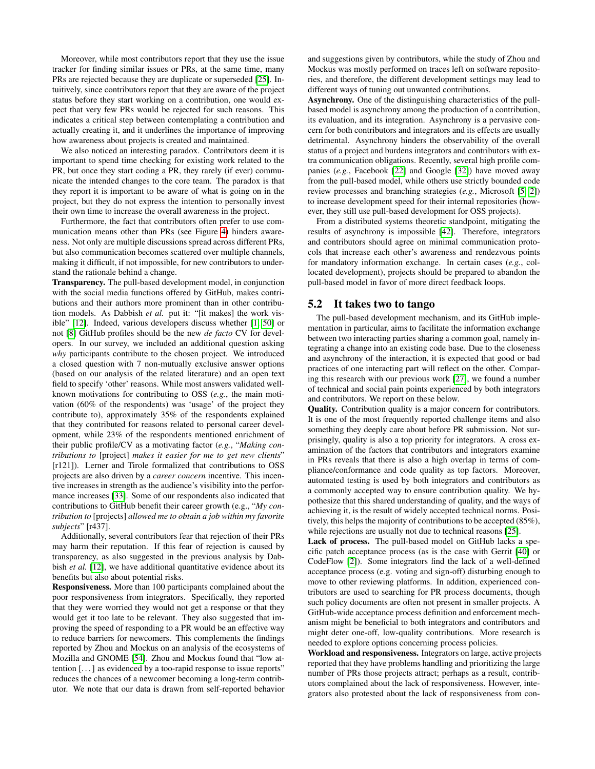Moreover, while most contributors report that they use the issue tracker for finding similar issues or PRs, at the same time, many PRs are rejected because they are duplicate or superseded [\[25\]](#page-10-0). Intuitively, since contributors report that they are aware of the project status before they start working on a contribution, one would expect that very few PRs would be rejected for such reasons. This indicates a critical step between contemplating a contribution and actually creating it, and it underlines the importance of improving how awareness about projects is created and maintained.

We also noticed an interesting paradox. Contributors deem it is important to spend time checking for existing work related to the PR, but once they start coding a PR, they rarely (if ever) communicate the intended changes to the core team. The paradox is that they report it is important to be aware of what is going on in the project, but they do not express the intention to personally invest their own time to increase the overall awareness in the project.

Furthermore, the fact that contributors often prefer to use communication means other than PRs (see Figure [4\)](#page-5-1) hinders awareness. Not only are multiple discussions spread across different PRs, but also communication becomes scattered over multiple channels, making it difficult, if not impossible, for new contributors to understand the rationale behind a change.

Transparency. The pull-based development model, in conjunction with the social media functions offered by GitHub, makes contributions and their authors more prominent than in other contribution models. As Dabbish *et al.* put it: "[it makes] the work visible" [\[12\]](#page-10-21). Indeed, various developers discuss whether [\[1,](#page-10-22) [50\]](#page-11-9) or not [\[8\]](#page-10-23) GitHub profiles should be the new *de facto* CV for developers. In our survey, we included an additional question asking *why* participants contribute to the chosen project. We introduced a closed question with 7 non-mutually exclusive answer options (based on our analysis of the related literature) and an open text field to specify 'other' reasons. While most answers validated wellknown motivations for contributing to OSS (*e.g.*, the main motivation (60% of the respondents) was 'usage' of the project they contribute to), approximately 35% of the respondents explained that they contributed for reasons related to personal career development, while 23% of the respondents mentioned enrichment of their public profile/CV as a motivating factor (*e.g.*, "*Making contributions to* [project] *makes it easier for me to get new clients*" [r121]). Lerner and Tirole formalized that contributions to OSS projects are also driven by a *career concern* incentive. This incentive increases in strength as the audience's visibility into the performance increases [\[33\]](#page-10-24). Some of our respondents also indicated that contributions to GitHub benefit their career growth (e.g., "*My contribution to* [projects] *allowed me to obtain a job within my favorite subjects*" [r437].

Additionally, several contributors fear that rejection of their PRs may harm their reputation. If this fear of rejection is caused by transparency, as also suggested in the previous analysis by Dabbish *et al.* [\[12\]](#page-10-21), we have additional quantitative evidence about its benefits but also about potential risks.

Responsiveness. More than 100 participants complained about the poor responsiveness from integrators. Specifically, they reported that they were worried they would not get a response or that they would get it too late to be relevant. They also suggested that improving the speed of responding to a PR would be an effective way to reduce barriers for newcomers. This complements the findings reported by Zhou and Mockus on an analysis of the ecosystems of Mozilla and GNOME [\[54\]](#page-11-10). Zhou and Mockus found that "low attention [. . . ] as evidenced by a too-rapid response to issue reports" reduces the chances of a newcomer becoming a long-term contributor. We note that our data is drawn from self-reported behavior

and suggestions given by contributors, while the study of Zhou and Mockus was mostly performed on traces left on software repositories, and therefore, the different development settings may lead to different ways of tuning out unwanted contributions.

Asynchrony. One of the distinguishing characteristics of the pullbased model is asynchrony among the production of a contribution, its evaluation, and its integration. Asynchrony is a pervasive concern for both contributors and integrators and its effects are usually detrimental. Asynchrony hinders the observability of the overall status of a project and burdens integrators and contributors with extra communication obligations. Recently, several high profile companies (*e.g.*, Facebook [\[22\]](#page-10-25) and Google [\[32\]](#page-10-26)) have moved away from the pull-based model, while others use strictly bounded code review processes and branching strategies (*e.g.*, Microsoft [\[5,](#page-10-27) [2\]](#page-10-28)) to increase development speed for their internal repositories (however, they still use pull-based development for OSS projects).

From a distributed systems theoretic standpoint, mitigating the results of asynchrony is impossible [\[42\]](#page-11-11). Therefore, integrators and contributors should agree on minimal communication protocols that increase each other's awareness and rendezvous points for mandatory information exchange. In certain cases (*e.g.*, collocated development), projects should be prepared to abandon the pull-based model in favor of more direct feedback loops.

### 5.2 It takes two to tango

The pull-based development mechanism, and its GitHub implementation in particular, aims to facilitate the information exchange between two interacting parties sharing a common goal, namely integrating a change into an existing code base. Due to the closeness and asynchrony of the interaction, it is expected that good or bad practices of one interacting part will reflect on the other. Comparing this research with our previous work [\[27\]](#page-10-7), we found a number of technical and social pain points experienced by both integrators and contributors. We report on these below.

Quality. Contribution quality is a major concern for contributors. It is one of the most frequently reported challenge items and also something they deeply care about before PR submission. Not surprisingly, quality is also a top priority for integrators. A cross examination of the factors that contributors and integrators examine in PRs reveals that there is also a high overlap in terms of compliance/conformance and code quality as top factors. Moreover, automated testing is used by both integrators and contributors as a commonly accepted way to ensure contribution quality. We hypothesize that this shared understanding of quality, and the ways of achieving it, is the result of widely accepted technical norms. Positively, this helps the majority of contributions to be accepted (85%), while rejections are usually not due to technical reasons [\[25\]](#page-10-0).

Lack of process. The pull-based model on GitHub lacks a specific patch acceptance process (as is the case with Gerrit [\[40\]](#page-11-12) or CodeFlow [\[2\]](#page-10-28)). Some integrators find the lack of a well-defined acceptance process (e.g. voting and sign-off) disturbing enough to move to other reviewing platforms. In addition, experienced contributors are used to searching for PR process documents, though such policy documents are often not present in smaller projects. A GitHub-wide acceptance process definition and enforcement mechanism might be beneficial to both integrators and contributors and might deter one-off, low-quality contributions. More research is needed to explore options concerning process policies.

Workload and responsiveness. Integrators on large, active projects reported that they have problems handling and prioritizing the large number of PRs those projects attract; perhaps as a result, contributors complained about the lack of responsiveness. However, integrators also protested about the lack of responsiveness from con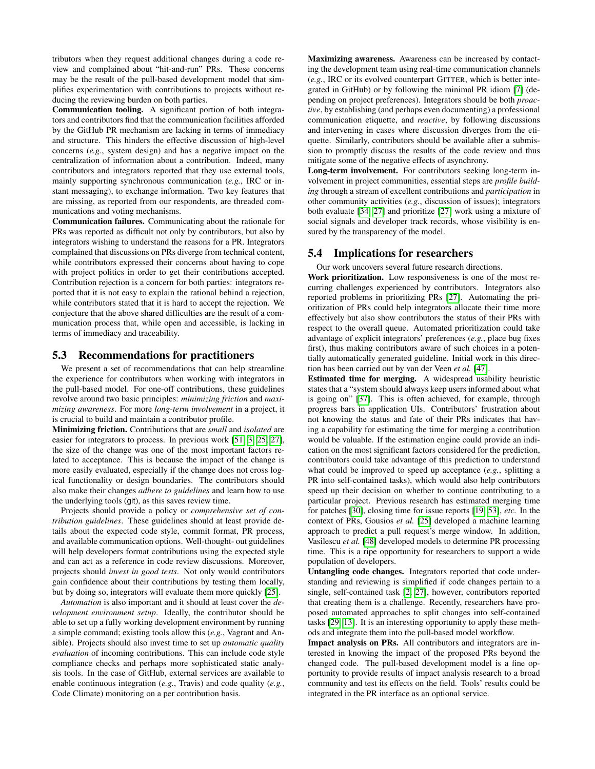tributors when they request additional changes during a code review and complained about "hit-and-run" PRs. These concerns may be the result of the pull-based development model that simplifies experimentation with contributions to projects without reducing the reviewing burden on both parties.

Communication tooling. A significant portion of both integrators and contributors find that the communication facilities afforded by the GitHub PR mechanism are lacking in terms of immediacy and structure. This hinders the effective discussion of high-level concerns (*e.g.*, system design) and has a negative impact on the centralization of information about a contribution. Indeed, many contributors and integrators reported that they use external tools, mainly supporting synchronous communication (*e.g.*, IRC or instant messaging), to exchange information. Two key features that are missing, as reported from our respondents, are threaded communications and voting mechanisms.

Communication failures. Communicating about the rationale for PRs was reported as difficult not only by contributors, but also by integrators wishing to understand the reasons for a PR. Integrators complained that discussions on PRs diverge from technical content, while contributors expressed their concerns about having to cope with project politics in order to get their contributions accepted. Contribution rejection is a concern for both parties: integrators reported that it is not easy to explain the rational behind a rejection, while contributors stated that it is hard to accept the rejection. We conjecture that the above shared difficulties are the result of a communication process that, while open and accessible, is lacking in terms of immediacy and traceability.

### 5.3 Recommendations for practitioners

We present a set of recommendations that can help streamline the experience for contributors when working with integrators in the pull-based model. For one-off contributions, these guidelines revolve around two basic principles: *minimizing friction* and *maximizing awareness*. For more *long-term involvement* in a project, it is crucial to build and maintain a contributor profile.

Minimizing friction. Contributions that are *small* and *isolated* are easier for integrators to process. In previous work [\[51,](#page-11-13) [3,](#page-10-2) [25,](#page-10-0) [27\]](#page-10-7), the size of the change was one of the most important factors related to acceptance. This is because the impact of the change is more easily evaluated, especially if the change does not cross logical functionality or design boundaries. The contributors should also make their changes *adhere to guidelines* and learn how to use the underlying tools (git), as this saves review time.

Projects should provide a policy or *comprehensive set of contribution guidelines*. These guidelines should at least provide details about the expected code style, commit format, PR process, and available communication options. Well-thought- out guidelines will help developers format contributions using the expected style and can act as a reference in code review discussions. Moreover, projects should *invest in good tests*. Not only would contributors gain confidence about their contributions by testing them locally, but by doing so, integrators will evaluate them more quickly [\[25\]](#page-10-0).

*Automation* is also important and it should at least cover the *development environment setup*. Ideally, the contributor should be able to set up a fully working development environment by running a simple command; existing tools allow this (*e.g.*, Vagrant and Ansible). Projects should also invest time to set up *automatic quality evaluation* of incoming contributions. This can include code style compliance checks and perhaps more sophisticated static analysis tools. In the case of GitHub, external services are available to enable continuous integration (*e.g.*, Travis) and code quality (*e.g.*, Code Climate) monitoring on a per contribution basis.

Maximizing awareness. Awareness can be increased by contacting the development team using real-time communication channels (*e.g.*, IRC or its evolved counterpart GITTER, which is better integrated in GitHub) or by following the minimal PR idiom [\[7\]](#page-10-29) (depending on project preferences). Integrators should be both *proactive*, by establishing (and perhaps even documenting) a professional communication etiquette, and *reactive*, by following discussions and intervening in cases where discussion diverges from the etiquette. Similarly, contributors should be available after a submission to promptly discuss the results of the code review and thus mitigate some of the negative effects of asynchrony.

Long-term involvement. For contributors seeking long-term involvement in project communities, essential steps are *profile building* through a stream of excellent contributions and *participation* in other community activities (*e.g.*, discussion of issues); integrators both evaluate [\[34,](#page-10-11) [27\]](#page-10-7) and prioritize [\[27\]](#page-10-7) work using a mixture of social signals and developer track records, whose visibility is ensured by the transparency of the model.

### 5.4 Implications for researchers

Our work uncovers several future research directions.

Work prioritization. Low responsiveness is one of the most recurring challenges experienced by contributors. Integrators also reported problems in prioritizing PRs [\[27\]](#page-10-7). Automating the prioritization of PRs could help integrators allocate their time more effectively but also show contributors the status of their PRs with respect to the overall queue. Automated prioritization could take advantage of explicit integrators' preferences (*e.g.*, place bug fixes first), thus making contributors aware of such choices in a potentially automatically generated guideline. Initial work in this direction has been carried out by van der Veen *et al.* [\[47\]](#page-11-14).

Estimated time for merging. A widespread usability heuristic states that a "system should always keep users informed about what is going on" [\[37\]](#page-11-15). This is often achieved, for example, through progress bars in application UIs. Contributors' frustration about not knowing the status and fate of their PRs indicates that having a capability for estimating the time for merging a contribution would be valuable. If the estimation engine could provide an indication on the most significant factors considered for the prediction, contributors could take advantage of this prediction to understand what could be improved to speed up acceptance (*e.g.*, splitting a PR into self-contained tasks), which would also help contributors speed up their decision on whether to continue contributing to a particular project. Previous research has estimated merging time for patches [\[30\]](#page-10-30), closing time for issue reports [\[19,](#page-10-31) [53\]](#page-11-16), *etc.* In the context of PRs, Gousios *et al.* [\[25\]](#page-10-0) developed a machine learning approach to predict a pull request's merge window. In addition, Vasilescu *et al.* [\[48\]](#page-11-17) developed models to determine PR processing time. This is a ripe opportunity for researchers to support a wide population of developers.

Untangling code changes. Integrators reported that code understanding and reviewing is simplified if code changes pertain to a single, self-contained task [\[2,](#page-10-28) [27\]](#page-10-7), however, contributors reported that creating them is a challenge. Recently, researchers have proposed automated approaches to split changes into self-contained tasks [\[29,](#page-10-32) [13\]](#page-10-33). It is an interesting opportunity to apply these methods and integrate them into the pull-based model workflow.

Impact analysis on PRs. All contributors and integrators are interested in knowing the impact of the proposed PRs beyond the changed code. The pull-based development model is a fine opportunity to provide results of impact analysis research to a broad community and test its effects on the field. Tools' results could be integrated in the PR interface as an optional service.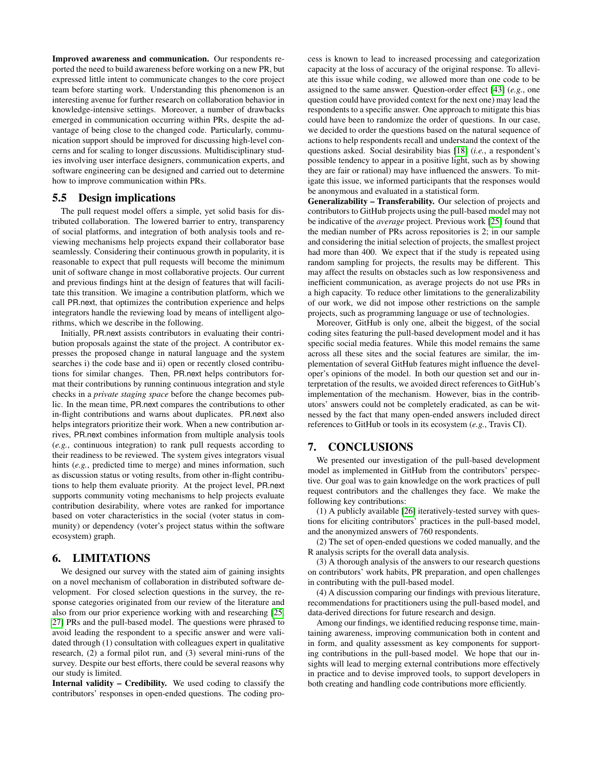Improved awareness and communication. Our respondents reported the need to build awareness before working on a new PR, but expressed little intent to communicate changes to the core project team before starting work. Understanding this phenomenon is an interesting avenue for further research on collaboration behavior in knowledge-intensive settings. Moreover, a number of drawbacks emerged in communication occurring within PRs, despite the advantage of being close to the changed code. Particularly, communication support should be improved for discussing high-level concerns and for scaling to longer discussions. Multidisciplinary studies involving user interface designers, communication experts, and software engineering can be designed and carried out to determine how to improve communication within PRs.

### 5.5 Design implications

The pull request model offers a simple, yet solid basis for distributed collaboration. The lowered barrier to entry, transparency of social platforms, and integration of both analysis tools and reviewing mechanisms help projects expand their collaborator base seamlessly. Considering their continuous growth in popularity, it is reasonable to expect that pull requests will become the minimum unit of software change in most collaborative projects. Our current and previous findings hint at the design of features that will facilitate this transition. We imagine a contribution platform, which we call PR.next, that optimizes the contribution experience and helps integrators handle the reviewing load by means of intelligent algorithms, which we describe in the following.

Initially, PR.next assists contributors in evaluating their contribution proposals against the state of the project. A contributor expresses the proposed change in natural language and the system searches i) the code base and ii) open or recently closed contributions for similar changes. Then, PR.next helps contributors format their contributions by running continuous integration and style checks in a *private staging space* before the change becomes public. In the mean time, PR.next compares the contributions to other in-flight contributions and warns about duplicates. PR.next also helps integrators prioritize their work. When a new contribution arrives, PR.next combines information from multiple analysis tools (*e.g.*, continuous integration) to rank pull requests according to their readiness to be reviewed. The system gives integrators visual hints (*e.g.*, predicted time to merge) and mines information, such as discussion status or voting results, from other in-flight contributions to help them evaluate priority. At the project level, PR.next supports community voting mechanisms to help projects evaluate contribution desirability, where votes are ranked for importance based on voter characteristics in the social (voter status in community) or dependency (voter's project status within the software ecosystem) graph.

### 6. LIMITATIONS

We designed our survey with the stated aim of gaining insights on a novel mechanism of collaboration in distributed software development. For closed selection questions in the survey, the response categories originated from our review of the literature and also from our prior experience working with and researching [\[25,](#page-10-0) [27\]](#page-10-7) PRs and the pull-based model. The questions were phrased to avoid leading the respondent to a specific answer and were validated through (1) consultation with colleagues expert in qualitative research, (2) a formal pilot run, and (3) several mini-runs of the survey. Despite our best efforts, there could be several reasons why our study is limited.

Internal validity – Credibility. We used coding to classify the contributors' responses in open-ended questions. The coding process is known to lead to increased processing and categorization capacity at the loss of accuracy of the original response. To alleviate this issue while coding, we allowed more than one code to be assigned to the same answer. Question-order effect [\[43\]](#page-11-18) (*e.g.*, one question could have provided context for the next one) may lead the respondents to a specific answer. One approach to mitigate this bias could have been to randomize the order of questions. In our case, we decided to order the questions based on the natural sequence of actions to help respondents recall and understand the context of the questions asked. Social desirability bias [\[18\]](#page-10-34) (*i.e.*, a respondent's possible tendency to appear in a positive light, such as by showing they are fair or rational) may have influenced the answers. To mitigate this issue, we informed participants that the responses would be anonymous and evaluated in a statistical form.

Generalizability – Transferability. Our selection of projects and contributors to GitHub projects using the pull-based model may not be indicative of the *average* project. Previous work [\[25\]](#page-10-0) found that the median number of PRs across repositories is 2; in our sample and considering the initial selection of projects, the smallest project had more than 400. We expect that if the study is repeated using random sampling for projects, the results may be different. This may affect the results on obstacles such as low responsiveness and inefficient communication, as average projects do not use PRs in a high capacity. To reduce other limitations to the generalizability of our work, we did not impose other restrictions on the sample projects, such as programming language or use of technologies.

Moreover, GitHub is only one, albeit the biggest, of the social coding sites featuring the pull-based development model and it has specific social media features. While this model remains the same across all these sites and the social features are similar, the implementation of several GitHub features might influence the developer's opinions of the model. In both our question set and our interpretation of the results, we avoided direct references to GitHub's implementation of the mechanism. However, bias in the contributors' answers could not be completely eradicated, as can be witnessed by the fact that many open-ended answers included direct references to GitHub or tools in its ecosystem (*e.g.*, Travis CI).

### 7. CONCLUSIONS

We presented our investigation of the pull-based development model as implemented in GitHub from the contributors' perspective. Our goal was to gain knowledge on the work practices of pull request contributors and the challenges they face. We make the following key contributions:

(1) A publicly available [\[26\]](#page-10-16) iteratively-tested survey with questions for eliciting contributors' practices in the pull-based model, and the anonymized answers of 760 respondents.

(2) The set of open-ended questions we coded manually, and the R analysis scripts for the overall data analysis.

(3) A thorough analysis of the answers to our research questions on contributors' work habits, PR preparation, and open challenges in contributing with the pull-based model.

(4) A discussion comparing our findings with previous literature, recommendations for practitioners using the pull-based model, and data-derived directions for future research and design.

Among our findings, we identified reducing response time, maintaining awareness, improving communication both in content and in form, and quality assessment as key components for supporting contributions in the pull-based model. We hope that our insights will lead to merging external contributions more effectively in practice and to devise improved tools, to support developers in both creating and handling code contributions more efficiently.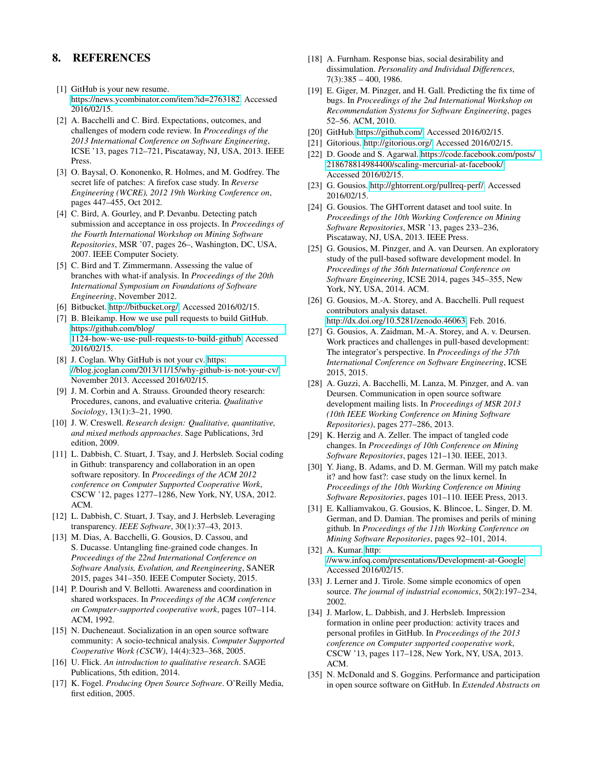### 8. REFERENCES

- <span id="page-10-22"></span>[1] GitHub is your new resume. [https://news.ycombinator.com/item?id=2763182.](https://news.ycombinator.com/item?id=2763182) Accessed 2016/02/15.
- <span id="page-10-28"></span>[2] A. Bacchelli and C. Bird. Expectations, outcomes, and challenges of modern code review. In *Proceedings of the 2013 International Conference on Software Engineering*, ICSE '13, pages 712–721, Piscataway, NJ, USA, 2013. IEEE Press.
- <span id="page-10-2"></span>[3] O. Baysal, O. Kononenko, R. Holmes, and M. Godfrey. The secret life of patches: A firefox case study. In *Reverse Engineering (WCRE), 2012 19th Working Conference on*, pages 447–455, Oct 2012.
- <span id="page-10-1"></span>[4] C. Bird, A. Gourley, and P. Devanbu. Detecting patch submission and acceptance in oss projects. In *Proceedings of the Fourth International Workshop on Mining Software Repositories*, MSR '07, pages 26–, Washington, DC, USA, 2007. IEEE Computer Society.
- <span id="page-10-27"></span>[5] C. Bird and T. Zimmermann. Assessing the value of branches with what-if analysis. In *Proceedings of the 20th International Symposium on Foundations of Software Engineering*, November 2012.
- <span id="page-10-5"></span>[6] Bitbucket. [http://bitbucket.org/.](http://bitbucket.org/) Accessed 2016/02/15.
- <span id="page-10-29"></span>[7] B. Bleikamp. How we use pull requests to build GitHub. [https://github.com/blog/](https://github.com/blog/1124-how-we-use-pull-requests-to-build-github) [1124-how-we-use-pull-requests-to-build-github.](https://github.com/blog/1124-how-we-use-pull-requests-to-build-github) Accessed 2016/02/15.
- <span id="page-10-23"></span>[8] J. Coglan. Why GitHub is not your cv. [https:](https://blog.jcoglan.com/2013/11/15/why-github-is-not-your-cv/) [//blog.jcoglan.com/2013/11/15/why-github-is-not-your-cv/,](https://blog.jcoglan.com/2013/11/15/why-github-is-not-your-cv/) November 2013. Accessed 2016/02/15.
- <span id="page-10-18"></span>[9] J. M. Corbin and A. Strauss. Grounded theory research: Procedures, canons, and evaluative criteria. *Qualitative Sociology*, 13(1):3–21, 1990.
- <span id="page-10-13"></span>[10] J. W. Creswell. *Research design: Qualitative, quantitative, and mixed methods approaches*. Sage Publications, 3rd edition, 2009.
- <span id="page-10-9"></span>[11] L. Dabbish, C. Stuart, J. Tsay, and J. Herbsleb. Social coding in Github: transparency and collaboration in an open software repository. In *Proceedings of the ACM 2012 conference on Computer Supported Cooperative Work*, CSCW '12, pages 1277–1286, New York, NY, USA, 2012. ACM.
- <span id="page-10-21"></span>[12] L. Dabbish, C. Stuart, J. Tsay, and J. Herbsleb. Leveraging transparency. *IEEE Software*, 30(1):37–43, 2013.
- <span id="page-10-33"></span>[13] M. Dias, A. Bacchelli, G. Gousios, D. Cassou, and S. Ducasse. Untangling fine-grained code changes. In *Proceedings of the 22nd International Conference on Software Analysis, Evolution, and Reengineering*, SANER 2015, pages 341–350. IEEE Computer Society, 2015.
- <span id="page-10-19"></span>[14] P. Dourish and V. Bellotti. Awareness and coordination in shared workspaces. In *Proceedings of the ACM conference on Computer-supported cooperative work*, pages 107–114. ACM, 1992.
- <span id="page-10-10"></span>[15] N. Ducheneaut. Socialization in an open source software community: A socio-technical analysis. *Computer Supported Cooperative Work (CSCW)*, 14(4):323–368, 2005.
- <span id="page-10-14"></span>[16] U. Flick. *An introduction to qualitative research*. SAGE Publications, 5th edition, 2014.
- <span id="page-10-3"></span>[17] K. Fogel. *Producing Open Source Software*. O'Reilly Media, first edition, 2005.
- <span id="page-10-34"></span>[18] A. Furnham. Response bias, social desirability and dissimulation. *Personality and Individual Differences*,  $7(3):385 - 400, 1986.$
- <span id="page-10-31"></span>[19] E. Giger, M. Pinzger, and H. Gall. Predicting the fix time of bugs. In *Proceedings of the 2nd International Workshop on Recommendation Systems for Software Engineering*, pages 52–56. ACM, 2010.
- <span id="page-10-4"></span>[20] GitHub. [https://github.com/.](https://github.com/) Accessed 2016/02/15.
- <span id="page-10-6"></span>[21] Gitorious. [http://gitorious.org/.](http://gitorious.org/) Accessed 2016/02/15.
- <span id="page-10-25"></span>[22] D. Goode and S. Agarwal. [https://code.facebook.com/posts/](https://code.facebook.com/posts/218678814984400/scaling-mercurial-at-facebook/) [218678814984400/scaling-mercurial-at-facebook/.](https://code.facebook.com/posts/218678814984400/scaling-mercurial-at-facebook/) Accessed 2016/02/15.
- <span id="page-10-17"></span>[23] G. Gousios. [http://ghtorrent.org/pullreq-perf/.](http://ghtorrent.org/pullreq-perf/) Accessed 2016/02/15.
- <span id="page-10-8"></span>[24] G. Gousios. The GHTorrent dataset and tool suite. In *Proceedings of the 10th Working Conference on Mining Software Repositories*, MSR '13, pages 233–236, Piscataway, NJ, USA, 2013. IEEE Press.
- <span id="page-10-0"></span>[25] G. Gousios, M. Pinzger, and A. van Deursen. An exploratory study of the pull-based software development model. In *Proceedings of the 36th International Conference on Software Engineering*, ICSE 2014, pages 345–355, New York, NY, USA, 2014. ACM.
- <span id="page-10-16"></span>[26] G. Gousios, M.-A. Storey, and A. Bacchelli. Pull request contributors analysis dataset. [http://dx.doi.org/10.5281/zenodo.46063,](http://dx.doi.org/10.5281/zenodo.46063) Feb. 2016.
- <span id="page-10-7"></span>[27] G. Gousios, A. Zaidman, M.-A. Storey, and A. v. Deursen. Work practices and challenges in pull-based development: The integrator's perspective. In *Proceedings of the 37th International Conference on Software Engineering*, ICSE 2015, 2015.
- <span id="page-10-20"></span>[28] A. Guzzi, A. Bacchelli, M. Lanza, M. Pinzger, and A. van Deursen. Communication in open source software development mailing lists. In *Proceedings of MSR 2013 (10th IEEE Working Conference on Mining Software Repositories)*, pages 277–286, 2013.
- <span id="page-10-32"></span>[29] K. Herzig and A. Zeller. The impact of tangled code changes. In *Proceedings of 10th Conference on Mining Software Repositories*, pages 121–130. IEEE, 2013.
- <span id="page-10-30"></span>[30] Y. Jiang, B. Adams, and D. M. German. Will my patch make it? and how fast?: case study on the linux kernel. In *Proceedings of the 10th Working Conference on Mining Software Repositories*, pages 101–110. IEEE Press, 2013.
- <span id="page-10-15"></span>[31] E. Kalliamvakou, G. Gousios, K. Blincoe, L. Singer, D. M. German, and D. Damian. The promises and perils of mining github. In *Proceedings of the 11th Working Conference on Mining Software Repositories*, pages 92–101, 2014.
- <span id="page-10-26"></span>[32] A. Kumar. [http:](http://www.infoq.com/presentations/Development-at-Google) [//www.infoq.com/presentations/Development-at-Google.](http://www.infoq.com/presentations/Development-at-Google) Accessed 2016/02/15.
- <span id="page-10-24"></span>[33] J. Lerner and J. Tirole. Some simple economics of open source. *The journal of industrial economics*, 50(2):197–234, 2002.
- <span id="page-10-11"></span>[34] J. Marlow, L. Dabbish, and J. Herbsleb. Impression formation in online peer production: activity traces and personal profiles in GitHub. In *Proceedings of the 2013 conference on Computer supported cooperative work*, CSCW '13, pages 117–128, New York, NY, USA, 2013. ACM.
- <span id="page-10-12"></span>[35] N. McDonald and S. Goggins. Performance and participation in open source software on GitHub. In *Extended Abstracts on*